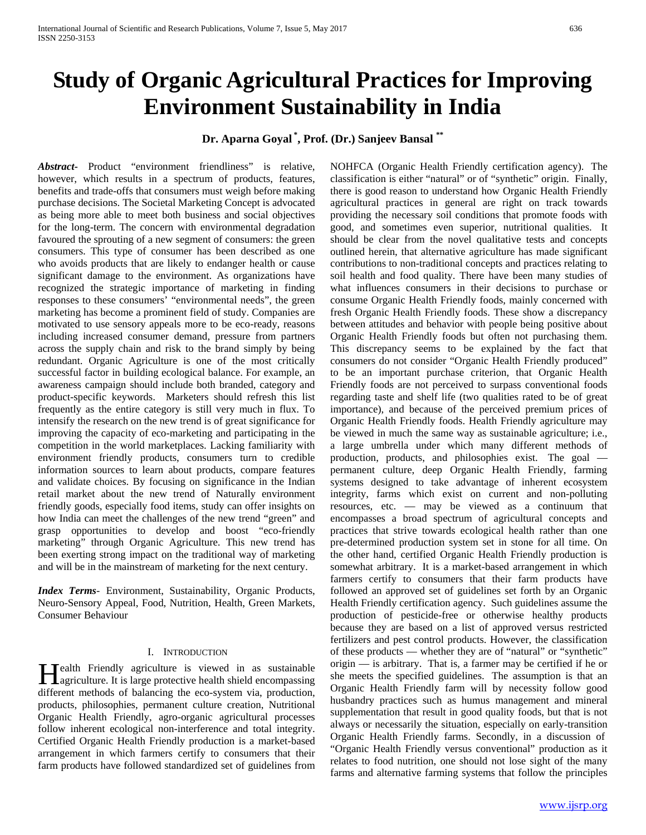# **Study of Organic Agricultural Practices for Improving Environment Sustainability in India**

## **Dr. Aparna Goyal \* , Prof. (Dr.) Sanjeev Bansal \*\***

*Abstract***-** Product "environment friendliness" is relative, however, which results in a spectrum of products, features, benefits and trade-offs that consumers must weigh before making purchase decisions. The Societal Marketing Concept is advocated as being more able to meet both business and social objectives for the long-term. The concern with environmental degradation favoured the sprouting of a new segment of consumers: the green consumers. This type of consumer has been described as one who avoids products that are likely to endanger health or cause significant damage to the environment. As organizations have recognized the strategic importance of marketing in finding responses to these consumers' "environmental needs", the green marketing has become a prominent field of study. Companies are motivated to use sensory appeals more to be eco-ready, reasons including increased consumer demand, pressure from partners across the supply chain and risk to the brand simply by being redundant. Organic Agriculture is one of the most critically successful factor in building ecological balance. For example, an awareness campaign should include both branded, category and product-specific keywords. Marketers should refresh this list frequently as the entire category is still very much in flux. To intensify the research on the new trend is of great significance for improving the capacity of eco-marketing and participating in the competition in the world marketplaces. Lacking familiarity with environment friendly products, consumers turn to credible information sources to learn about products, compare features and validate choices. By focusing on significance in the Indian retail market about the new trend of Naturally environment friendly goods, especially food items, study can offer insights on how India can meet the challenges of the new trend "green" and grasp opportunities to develop and boost "eco-friendly marketing" through Organic Agriculture. This new trend has been exerting strong impact on the traditional way of marketing and will be in the mainstream of marketing for the next century.

*Index Terms*- Environment, Sustainability, Organic Products, Neuro-Sensory Appeal, Food, Nutrition, Health, Green Markets, Consumer Behaviour

## I. INTRODUCTION

Tealth Friendly agriculture is viewed in as sustainable **H**ealth Friendly agriculture is viewed in as sustainable agriculture. It is large protective health shield encompassing different methods of balancing the eco-system via, production, products, philosophies, permanent culture creation, Nutritional Organic Health Friendly, agro-organic agricultural processes follow inherent ecological non-interference and total integrity. Certified Organic Health Friendly production is a market-based arrangement in which farmers certify to consumers that their farm products have followed standardized set of guidelines from

NOHFCA (Organic Health Friendly certification agency). The classification is either "natural" or of "synthetic" origin. Finally, there is good reason to understand how Organic Health Friendly agricultural practices in general are right on track towards providing the necessary soil conditions that promote foods with good, and sometimes even superior, nutritional qualities. It should be clear from the novel qualitative tests and concepts outlined herein, that alternative agriculture has made significant contributions to non-traditional concepts and practices relating to soil health and food quality. There have been many studies of what influences consumers in their decisions to purchase or consume Organic Health Friendly foods, mainly concerned with fresh Organic Health Friendly foods. These show a discrepancy between attitudes and behavior with people being positive about Organic Health Friendly foods but often not purchasing them. This discrepancy seems to be explained by the fact that consumers do not consider "Organic Health Friendly produced" to be an important purchase criterion, that Organic Health Friendly foods are not perceived to surpass conventional foods regarding taste and shelf life (two qualities rated to be of great importance), and because of the perceived premium prices of Organic Health Friendly foods. Health Friendly agriculture may be viewed in much the same way as sustainable agriculture; i.e., a large umbrella under which many different methods of production, products, and philosophies exist. The goal permanent culture, deep Organic Health Friendly, farming systems designed to take advantage of inherent ecosystem integrity, farms which exist on current and non-polluting resources, etc. — may be viewed as a continuum that encompasses a broad spectrum of agricultural concepts and practices that strive towards ecological health rather than one pre-determined production system set in stone for all time. On the other hand, certified Organic Health Friendly production is somewhat arbitrary. It is a market-based arrangement in which farmers certify to consumers that their farm products have followed an approved set of guidelines set forth by an Organic Health Friendly certification agency. Such guidelines assume the production of pesticide-free or otherwise healthy products because they are based on a list of approved versus restricted fertilizers and pest control products. However, the classification of these products — whether they are of "natural" or "synthetic" origin — is arbitrary. That is, a farmer may be certified if he or she meets the specified guidelines. The assumption is that an Organic Health Friendly farm will by necessity follow good husbandry practices such as humus management and mineral supplementation that result in good quality foods, but that is not always or necessarily the situation, especially on early-transition Organic Health Friendly farms. Secondly, in a discussion of "Organic Health Friendly versus conventional" production as it relates to food nutrition, one should not lose sight of the many farms and alternative farming systems that follow the principles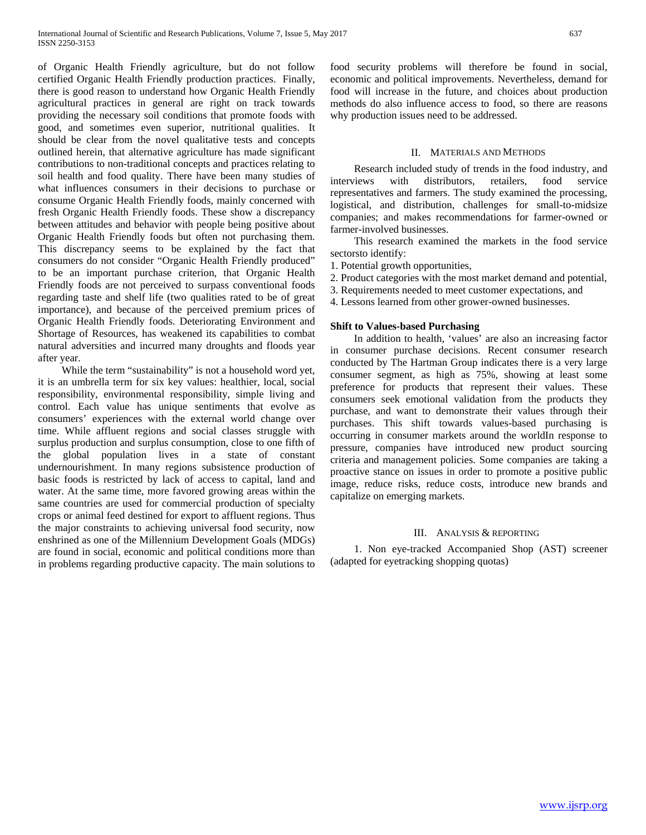of Organic Health Friendly agriculture, but do not follow certified Organic Health Friendly production practices. Finally, there is good reason to understand how Organic Health Friendly agricultural practices in general are right on track towards providing the necessary soil conditions that promote foods with good, and sometimes even superior, nutritional qualities. It should be clear from the novel qualitative tests and concepts outlined herein, that alternative agriculture has made significant contributions to non-traditional concepts and practices relating to soil health and food quality. There have been many studies of what influences consumers in their decisions to purchase or consume Organic Health Friendly foods, mainly concerned with fresh Organic Health Friendly foods. These show a discrepancy between attitudes and behavior with people being positive about Organic Health Friendly foods but often not purchasing them. This discrepancy seems to be explained by the fact that consumers do not consider "Organic Health Friendly produced" to be an important purchase criterion, that Organic Health Friendly foods are not perceived to surpass conventional foods regarding taste and shelf life (two qualities rated to be of great importance), and because of the perceived premium prices of Organic Health Friendly foods. Deteriorating Environment and Shortage of Resources, has weakened its capabilities to combat natural adversities and incurred many droughts and floods year after year.

 While the term "sustainability" is not a household word yet, it is an umbrella term for six key values: healthier, local, social responsibility, environmental responsibility, simple living and control. Each value has unique sentiments that evolve as consumers' experiences with the external world change over time. While affluent regions and social classes struggle with surplus production and surplus consumption, close to one fifth of the global population lives in a state of constant undernourishment. In many regions subsistence production of basic foods is restricted by lack of access to capital, land and water. At the same time, more favored growing areas within the same countries are used for commercial production of specialty crops or animal feed destined for export to affluent regions. Thus the major constraints to achieving universal food security, now enshrined as one of the Millennium Development Goals (MDGs) are found in social, economic and political conditions more than in problems regarding productive capacity. The main solutions to food security problems will therefore be found in social, economic and political improvements. Nevertheless, demand for food will increase in the future, and choices about production methods do also influence access to food, so there are reasons why production issues need to be addressed.

#### II. MATERIALS AND METHODS

 Research included study of trends in the food industry, and interviews with distributors, retailers, food service representatives and farmers. The study examined the processing, logistical, and distribution, challenges for small-to-midsize companies; and makes recommendations for farmer-owned or farmer-involved businesses.

 This research examined the markets in the food service sectorsto identify:

1. Potential growth opportunities,

- 2. Product categories with the most market demand and potential,
- 3. Requirements needed to meet customer expectations, and
- 4. Lessons learned from other grower-owned businesses.

## **Shift to Values-based Purchasing**

 In addition to health, 'values' are also an increasing factor in consumer purchase decisions. Recent consumer research conducted by The Hartman Group indicates there is a very large consumer segment, as high as 75%, showing at least some preference for products that represent their values. These consumers seek emotional validation from the products they purchase, and want to demonstrate their values through their purchases. This shift towards values-based purchasing is occurring in consumer markets around the worldIn response to pressure, companies have introduced new product sourcing criteria and management policies. Some companies are taking a proactive stance on issues in order to promote a positive public image, reduce risks, reduce costs, introduce new brands and capitalize on emerging markets.

#### III. ANALYSIS & REPORTING

 1. Non eye-tracked Accompanied Shop (AST) screener (adapted for eyetracking shopping quotas)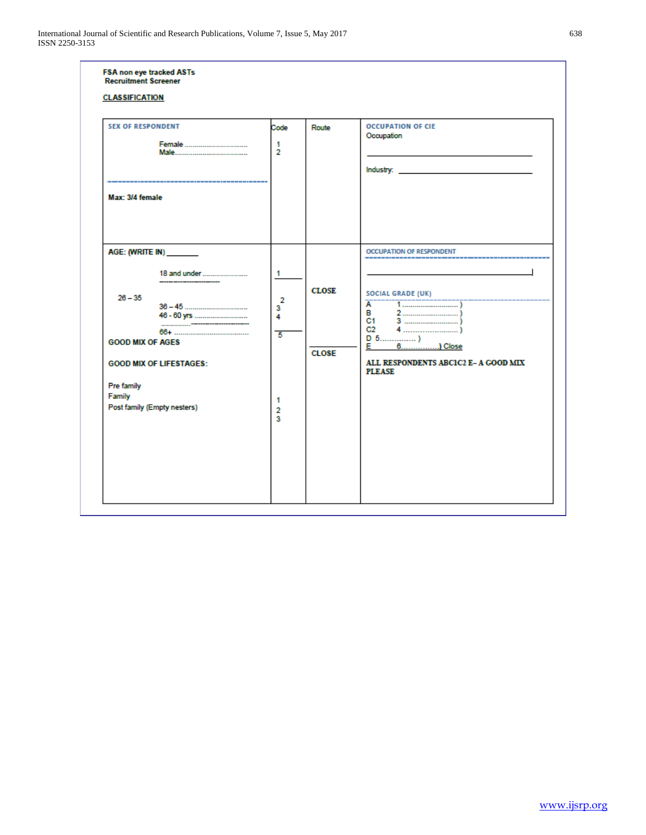| <b>SEX OF RESPONDENT</b><br>Max: 3/4 female                                                                                                              | Code<br>$\overline{1}$<br>$\overline{2}$                      | Route                        | <b>OCCUPATION OF CIE</b><br>Occupation                                                                                                                             |
|----------------------------------------------------------------------------------------------------------------------------------------------------------|---------------------------------------------------------------|------------------------------|--------------------------------------------------------------------------------------------------------------------------------------------------------------------|
| AGE: (WRITE IN) _______<br>$26 - 35$<br><b>GOOD MIX OF AGES</b><br><b>GOOD MIX OF LIFESTAGES:</b><br>Pre family<br>Family<br>Post family (Empty nesters) | $\mathbf{1}$<br>$\overline{2}$<br>3<br>4<br>-5<br>1<br>2<br>3 | <b>CLOSE</b><br><b>CLOSE</b> | <b>OCCUPATION OF RESPONDENT</b><br><b>SOCIAL GRADE (UK)</b><br>A<br>$2 - 1$<br>в<br>C1.<br>C <sub>2</sub><br>ALL RESPONDENTS ABCIC2 E- A GOOD MIX<br><b>PLEASE</b> |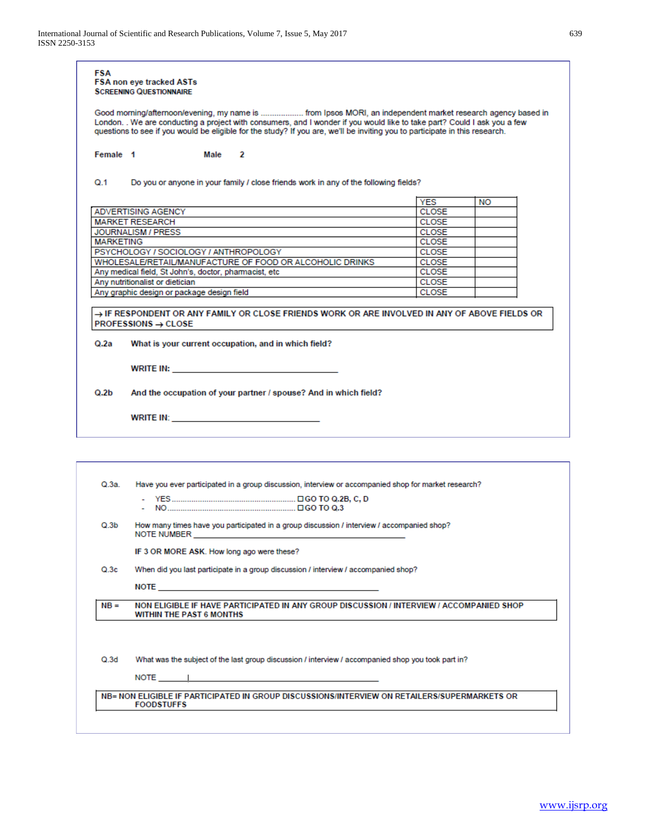|                                                                                                                                                                                                                                                                                                                                                                                                  | FSA non eye tracked ASTs<br><b>SCREENING QUESTIONNAIRE</b>                                                                                                                                                                     |                                                              |    |  |  |  |
|--------------------------------------------------------------------------------------------------------------------------------------------------------------------------------------------------------------------------------------------------------------------------------------------------------------------------------------------------------------------------------------------------|--------------------------------------------------------------------------------------------------------------------------------------------------------------------------------------------------------------------------------|--------------------------------------------------------------|----|--|--|--|
| Good morning/afternoon/evening, my name is  from Ipsos MORI, an independent market research agency based in<br>London. . We are conducting a project with consumers, and I wonder if you would like to take part? Could I ask you a few<br>questions to see if you would be eligible for the study? If you are, we'll be inviting you to participate in this research.<br>Female 1<br>Male<br>-2 |                                                                                                                                                                                                                                |                                                              |    |  |  |  |
|                                                                                                                                                                                                                                                                                                                                                                                                  |                                                                                                                                                                                                                                |                                                              |    |  |  |  |
|                                                                                                                                                                                                                                                                                                                                                                                                  |                                                                                                                                                                                                                                | <b>YES</b>                                                   | NO |  |  |  |
|                                                                                                                                                                                                                                                                                                                                                                                                  | ADVERTISING AGENCY                                                                                                                                                                                                             | <b>CLOSE</b>                                                 |    |  |  |  |
|                                                                                                                                                                                                                                                                                                                                                                                                  | <b>MARKET RESEARCH</b>                                                                                                                                                                                                         | <b>CLOSE</b>                                                 |    |  |  |  |
|                                                                                                                                                                                                                                                                                                                                                                                                  | JOURNALISM / PRESS                                                                                                                                                                                                             | <b>CLOSE</b>                                                 |    |  |  |  |
| <b>MARKETING</b>                                                                                                                                                                                                                                                                                                                                                                                 |                                                                                                                                                                                                                                | <b>CLOSE</b>                                                 |    |  |  |  |
|                                                                                                                                                                                                                                                                                                                                                                                                  | PSYCHOLOGY / SOCIOLOGY / ANTHROPOLOGY                                                                                                                                                                                          | <b>CLOSE</b><br><b>CLOSE</b><br><b>CLOSE</b><br><b>CLOSE</b> |    |  |  |  |
|                                                                                                                                                                                                                                                                                                                                                                                                  | WHOLESALE/RETAIL/MANUFACTURE OF FOOD OR ALCOHOLIC DRINKS                                                                                                                                                                       |                                                              |    |  |  |  |
|                                                                                                                                                                                                                                                                                                                                                                                                  | Any medical field, St John's, doctor, pharmacist, etc                                                                                                                                                                          |                                                              |    |  |  |  |
|                                                                                                                                                                                                                                                                                                                                                                                                  | Any nutritionalist or dietician                                                                                                                                                                                                |                                                              |    |  |  |  |
|                                                                                                                                                                                                                                                                                                                                                                                                  | Any graphic design or package design field                                                                                                                                                                                     | <b>CLOSE</b>                                                 |    |  |  |  |
|                                                                                                                                                                                                                                                                                                                                                                                                  | $PROFESSIONS \rightarrow CLOSE$<br>What is your current occupation, and in which field?                                                                                                                                        |                                                              |    |  |  |  |
|                                                                                                                                                                                                                                                                                                                                                                                                  | WRITE IN: WELL ARE AN ARRAIGNMENT OF THE CONTRACTOR                                                                                                                                                                            |                                                              |    |  |  |  |
|                                                                                                                                                                                                                                                                                                                                                                                                  | And the occupation of your partner / spouse? And in which field?                                                                                                                                                               |                                                              |    |  |  |  |
| Q.2a<br>Q.2b                                                                                                                                                                                                                                                                                                                                                                                     | WRITE IN: WELL ARE AN ARRAIGNMENT OF THE CONTROL OF THE CONTROL OF THE CONTROL OF THE CONTROL OF THE CONTROL OF THE CONTROL OF THE CONTROL OF THE CONTROL OF THE CONTROL OF THE CONTROL OF THE CONTROL OF THE CONTROL OF THE C |                                                              |    |  |  |  |
|                                                                                                                                                                                                                                                                                                                                                                                                  |                                                                                                                                                                                                                                |                                                              |    |  |  |  |
| Q.3a.                                                                                                                                                                                                                                                                                                                                                                                            | Have you ever participated in a group discussion, interview or accompanied shop for market research?                                                                                                                           |                                                              |    |  |  |  |
|                                                                                                                                                                                                                                                                                                                                                                                                  |                                                                                                                                                                                                                                |                                                              |    |  |  |  |
| Q.3b                                                                                                                                                                                                                                                                                                                                                                                             | How many times have you participated in a group discussion / interview / accompanied shop?<br>NOTE NUMBER                                                                                                                      |                                                              |    |  |  |  |
|                                                                                                                                                                                                                                                                                                                                                                                                  | IF 3 OR MORE ASK. How long ago were these?                                                                                                                                                                                     |                                                              |    |  |  |  |
| Q.3c                                                                                                                                                                                                                                                                                                                                                                                             | When did you last participate in a group discussion / interview / accompanied shop?                                                                                                                                            |                                                              |    |  |  |  |
|                                                                                                                                                                                                                                                                                                                                                                                                  | <b>NOTE <i>NOTE</i></b>                                                                                                                                                                                                        |                                                              |    |  |  |  |

 $Q.3d$ What was the subject of the last group discussion / interview / accompanied shop you took part in?

NOTE\_

T

NB= NON ELIGIBLE IF PARTICIPATED IN GROUP DISCUSSIONS/INTERVIEW ON RETAILERS/SUPERMARKETS OR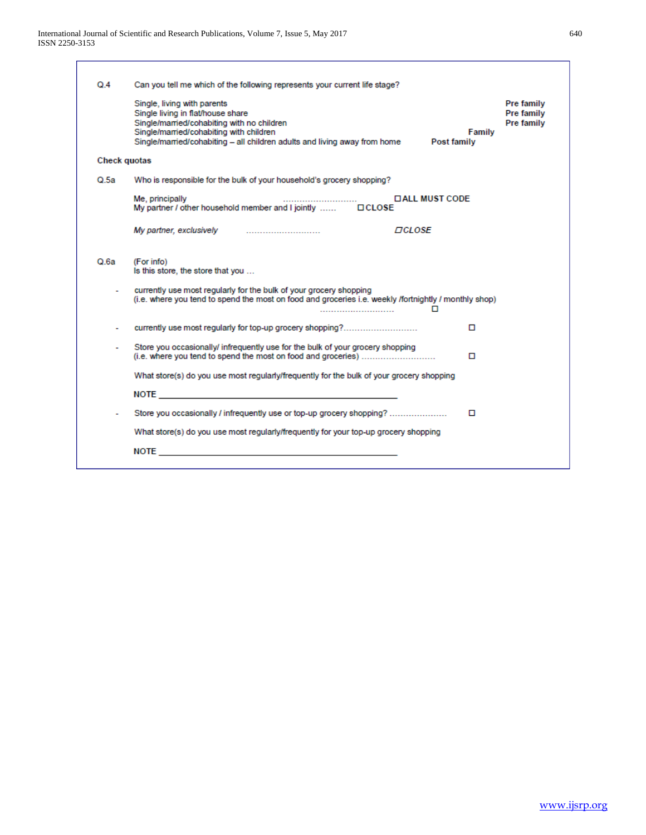| $Q_4$               | Can you tell me which of the following represents your current life stage?                                                                                                                                                                                   |        |                                                      |
|---------------------|--------------------------------------------------------------------------------------------------------------------------------------------------------------------------------------------------------------------------------------------------------------|--------|------------------------------------------------------|
|                     | Single, living with parents<br>Single living in flat/house share<br>Single/married/cohabiting with no children<br>Single/married/cohabiting with children<br>Single/married/cohabiting - all children adults and living away from home<br><b>Post family</b> | Family | <b>Pre family</b><br><b>Pre family</b><br>Pre family |
| <b>Check quotas</b> |                                                                                                                                                                                                                                                              |        |                                                      |
| Q.5a                | Who is responsible for the bulk of your household's grocery shopping?                                                                                                                                                                                        |        |                                                      |
|                     | Me, principally<br><b>DALL MUST CODE</b>                                                                                                                                                                                                                     |        |                                                      |
|                     | My partner, exclusively<br><b>DCLOSE</b>                                                                                                                                                                                                                     |        |                                                      |
| Q.6a                | (For info)<br>Is this store, the store that you                                                                                                                                                                                                              |        |                                                      |
|                     | currently use most regularly for the bulk of your grocery shopping<br>(i.e. where you tend to spend the most on food and groceries i.e. weekly /fortnightly / monthly shop)<br>п                                                                             |        |                                                      |
|                     | currently use most regularly for top-up grocery shopping?<br>O                                                                                                                                                                                               |        |                                                      |
|                     | Store you occasionally/ infrequently use for the bulk of your grocery shopping<br>(i.e. where you tend to spend the most on food and groceries)<br>O                                                                                                         |        |                                                      |
|                     | What store(s) do you use most regularly/frequently for the bulk of your grocery shopping                                                                                                                                                                     |        |                                                      |
|                     | NOTE And the state of the state of the state of the state of the state of the state of the state of the state of the state of the state of the state of the state of the state of the state of the state of the state of the s                               |        |                                                      |
|                     | Store you occasionally / infrequently use or top-up grocery shopping?<br>□                                                                                                                                                                                   |        |                                                      |
|                     | What store(s) do you use most regularly/frequently for your top-up grocery shopping                                                                                                                                                                          |        |                                                      |
|                     | NOTE                                                                                                                                                                                                                                                         |        |                                                      |
|                     |                                                                                                                                                                                                                                                              |        |                                                      |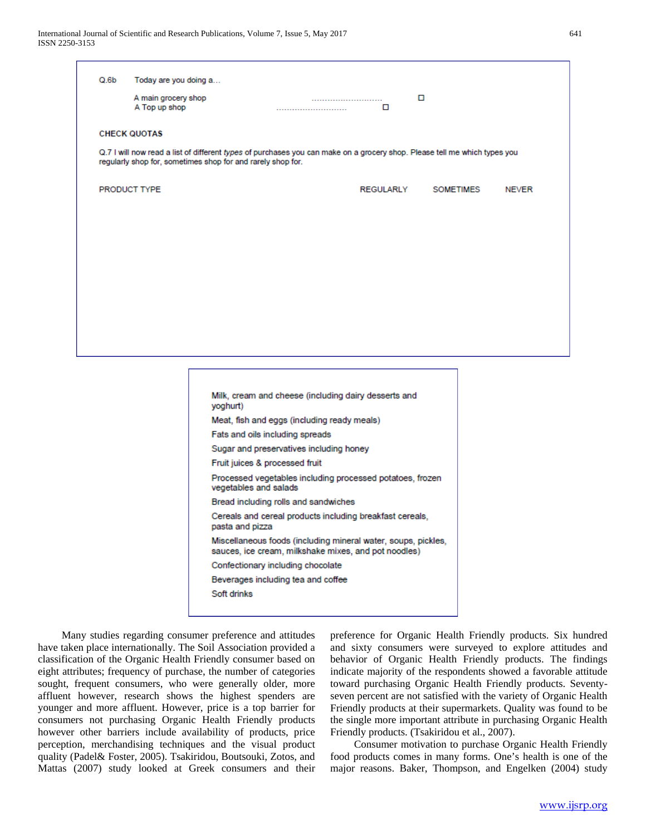| Q.6b                                                                                                                                                                                     | Today are you doing a                                                              |           |                           |  |  |  |  |  |  |  |
|------------------------------------------------------------------------------------------------------------------------------------------------------------------------------------------|------------------------------------------------------------------------------------|-----------|---------------------------|--|--|--|--|--|--|--|
|                                                                                                                                                                                          |                                                                                    |           |                           |  |  |  |  |  |  |  |
|                                                                                                                                                                                          | A main grocery shop<br><br>A Top up shop<br>0<br>                                  | □         |                           |  |  |  |  |  |  |  |
|                                                                                                                                                                                          |                                                                                    |           |                           |  |  |  |  |  |  |  |
| <b>CHECK QUOTAS</b>                                                                                                                                                                      |                                                                                    |           |                           |  |  |  |  |  |  |  |
|                                                                                                                                                                                          |                                                                                    |           |                           |  |  |  |  |  |  |  |
| Q.7 I will now read a list of different types of purchases you can make on a grocery shop. Please tell me which types you<br>regularly shop for, sometimes shop for and rarely shop for. |                                                                                    |           |                           |  |  |  |  |  |  |  |
|                                                                                                                                                                                          |                                                                                    |           |                           |  |  |  |  |  |  |  |
| <b>PRODUCT TYPE</b>                                                                                                                                                                      |                                                                                    | REGULARLY | SOMETIMES<br><b>NEVER</b> |  |  |  |  |  |  |  |
|                                                                                                                                                                                          |                                                                                    |           |                           |  |  |  |  |  |  |  |
|                                                                                                                                                                                          |                                                                                    |           |                           |  |  |  |  |  |  |  |
|                                                                                                                                                                                          |                                                                                    |           |                           |  |  |  |  |  |  |  |
|                                                                                                                                                                                          |                                                                                    |           |                           |  |  |  |  |  |  |  |
|                                                                                                                                                                                          |                                                                                    |           |                           |  |  |  |  |  |  |  |
|                                                                                                                                                                                          |                                                                                    |           |                           |  |  |  |  |  |  |  |
|                                                                                                                                                                                          |                                                                                    |           |                           |  |  |  |  |  |  |  |
|                                                                                                                                                                                          |                                                                                    |           |                           |  |  |  |  |  |  |  |
|                                                                                                                                                                                          |                                                                                    |           |                           |  |  |  |  |  |  |  |
|                                                                                                                                                                                          |                                                                                    |           |                           |  |  |  |  |  |  |  |
|                                                                                                                                                                                          |                                                                                    |           |                           |  |  |  |  |  |  |  |
|                                                                                                                                                                                          |                                                                                    |           |                           |  |  |  |  |  |  |  |
|                                                                                                                                                                                          |                                                                                    |           |                           |  |  |  |  |  |  |  |
|                                                                                                                                                                                          |                                                                                    |           |                           |  |  |  |  |  |  |  |
|                                                                                                                                                                                          | Milk, cream and cheese (including dairy desserts and                               |           |                           |  |  |  |  |  |  |  |
|                                                                                                                                                                                          | yoghurt)                                                                           |           |                           |  |  |  |  |  |  |  |
|                                                                                                                                                                                          | Meat, fish and eggs (including ready meals)                                        |           |                           |  |  |  |  |  |  |  |
|                                                                                                                                                                                          | Fats and oils including spreads                                                    |           |                           |  |  |  |  |  |  |  |
|                                                                                                                                                                                          | Sugar and preservatives including honey                                            |           |                           |  |  |  |  |  |  |  |
|                                                                                                                                                                                          | Fruit juices & processed fruit                                                     |           |                           |  |  |  |  |  |  |  |
|                                                                                                                                                                                          | Processed vegetables including processed potatoes, frozen<br>vegetables and salads |           |                           |  |  |  |  |  |  |  |
|                                                                                                                                                                                          | Bread including rolls and sandwiches                                               |           |                           |  |  |  |  |  |  |  |
|                                                                                                                                                                                          | Cereals and cereal products including breakfast cereals,                           |           |                           |  |  |  |  |  |  |  |
|                                                                                                                                                                                          | pasta and pizza                                                                    |           |                           |  |  |  |  |  |  |  |
|                                                                                                                                                                                          | Miscellaneous foods (including mineral water, soups, pickles,                      |           |                           |  |  |  |  |  |  |  |
|                                                                                                                                                                                          | sauces, ice cream, milkshake mixes, and pot noodles)                               |           |                           |  |  |  |  |  |  |  |
|                                                                                                                                                                                          | Confectionary including chocolate                                                  |           |                           |  |  |  |  |  |  |  |
|                                                                                                                                                                                          | Beverages including tea and coffee                                                 |           |                           |  |  |  |  |  |  |  |
|                                                                                                                                                                                          | Soft drinks                                                                        |           |                           |  |  |  |  |  |  |  |
|                                                                                                                                                                                          |                                                                                    |           |                           |  |  |  |  |  |  |  |
|                                                                                                                                                                                          |                                                                                    |           |                           |  |  |  |  |  |  |  |

 Many studies regarding consumer preference and attitudes have taken place internationally. The Soil Association provided a classification of the Organic Health Friendly consumer based on eight attributes; frequency of purchase, the number of categories sought, frequent consumers, who were generally older, more affluent however, research shows the highest spenders are younger and more affluent. However, price is a top barrier for consumers not purchasing Organic Health Friendly products however other barriers include availability of products, price perception, merchandising techniques and the visual product quality (Padel& Foster, 2005). Tsakiridou, Boutsouki, Zotos, and Mattas (2007) study looked at Greek consumers and their preference for Organic Health Friendly products. Six hundred and sixty consumers were surveyed to explore attitudes and behavior of Organic Health Friendly products. The findings indicate majority of the respondents showed a favorable attitude toward purchasing Organic Health Friendly products. Seventyseven percent are not satisfied with the variety of Organic Health Friendly products at their supermarkets. Quality was found to be the single more important attribute in purchasing Organic Health Friendly products. (Tsakiridou et al., 2007).

 Consumer motivation to purchase Organic Health Friendly food products comes in many forms. One's health is one of the major reasons. Baker, Thompson, and Engelken (2004) study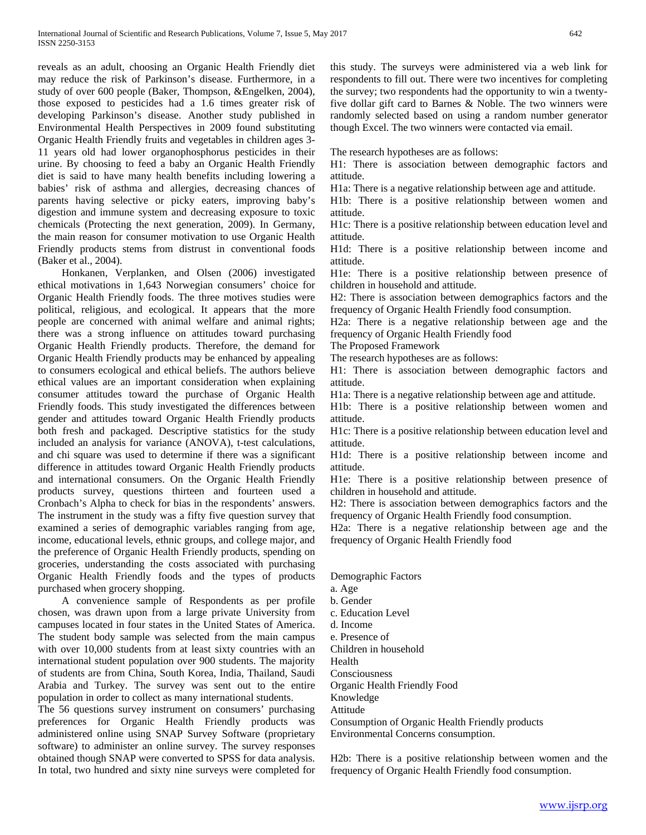reveals as an adult, choosing an Organic Health Friendly diet may reduce the risk of Parkinson's disease. Furthermore, in a study of over 600 people (Baker, Thompson, &Engelken, 2004), those exposed to pesticides had a 1.6 times greater risk of developing Parkinson's disease. Another study published in Environmental Health Perspectives in 2009 found substituting Organic Health Friendly fruits and vegetables in children ages 3- 11 years old had lower organophosphorus pesticides in their urine. By choosing to feed a baby an Organic Health Friendly diet is said to have many health benefits including lowering a babies' risk of asthma and allergies, decreasing chances of parents having selective or picky eaters, improving baby's digestion and immune system and decreasing exposure to toxic chemicals (Protecting the next generation, 2009). In Germany, the main reason for consumer motivation to use Organic Health Friendly products stems from distrust in conventional foods (Baker et al., 2004).

 Honkanen, Verplanken, and Olsen (2006) investigated ethical motivations in 1,643 Norwegian consumers' choice for Organic Health Friendly foods. The three motives studies were political, religious, and ecological. It appears that the more people are concerned with animal welfare and animal rights; there was a strong influence on attitudes toward purchasing Organic Health Friendly products. Therefore, the demand for Organic Health Friendly products may be enhanced by appealing to consumers ecological and ethical beliefs. The authors believe ethical values are an important consideration when explaining consumer attitudes toward the purchase of Organic Health Friendly foods. This study investigated the differences between gender and attitudes toward Organic Health Friendly products both fresh and packaged. Descriptive statistics for the study included an analysis for variance (ANOVA), t-test calculations, and chi square was used to determine if there was a significant difference in attitudes toward Organic Health Friendly products and international consumers. On the Organic Health Friendly products survey, questions thirteen and fourteen used a Cronbach's Alpha to check for bias in the respondents' answers. The instrument in the study was a fifty five question survey that examined a series of demographic variables ranging from age, income, educational levels, ethnic groups, and college major, and the preference of Organic Health Friendly products, spending on groceries, understanding the costs associated with purchasing Organic Health Friendly foods and the types of products purchased when grocery shopping.

 A convenience sample of Respondents as per profile chosen, was drawn upon from a large private University from campuses located in four states in the United States of America. The student body sample was selected from the main campus with over 10,000 students from at least sixty countries with an international student population over 900 students. The majority of students are from China, South Korea, India, Thailand, Saudi Arabia and Turkey. The survey was sent out to the entire population in order to collect as many international students.

The 56 questions survey instrument on consumers' purchasing preferences for Organic Health Friendly products was administered online using SNAP Survey Software (proprietary software) to administer an online survey. The survey responses obtained though SNAP were converted to SPSS for data analysis. In total, two hundred and sixty nine surveys were completed for this study. The surveys were administered via a web link for respondents to fill out. There were two incentives for completing the survey; two respondents had the opportunity to win a twentyfive dollar gift card to Barnes & Noble. The two winners were randomly selected based on using a random number generator though Excel. The two winners were contacted via email.

The research hypotheses are as follows:

H1: There is association between demographic factors and attitude.

H1a: There is a negative relationship between age and attitude.

H1b: There is a positive relationship between women and attitude.

H1c: There is a positive relationship between education level and attitude.

H1d: There is a positive relationship between income and attitude.

H1e: There is a positive relationship between presence of children in household and attitude.

H2: There is association between demographics factors and the frequency of Organic Health Friendly food consumption.

H2a: There is a negative relationship between age and the frequency of Organic Health Friendly food

The Proposed Framework

The research hypotheses are as follows:

H1: There is association between demographic factors and attitude.

H1a: There is a negative relationship between age and attitude.

H1b: There is a positive relationship between women and attitude.

H1c: There is a positive relationship between education level and attitude.

H1d: There is a positive relationship between income and attitude.

H1e: There is a positive relationship between presence of children in household and attitude.

H2: There is association between demographics factors and the frequency of Organic Health Friendly food consumption.

H2a: There is a negative relationship between age and the frequency of Organic Health Friendly food

- Demographic Factors
- a. Age

b. Gender

- c. Education Level
- d. Income
- e. Presence of
- Children in household
- Health

Consciousness

Organic Health Friendly Food

Knowledge

Attitude

Consumption of Organic Health Friendly products Environmental Concerns consumption.

H2b: There is a positive relationship between women and the frequency of Organic Health Friendly food consumption.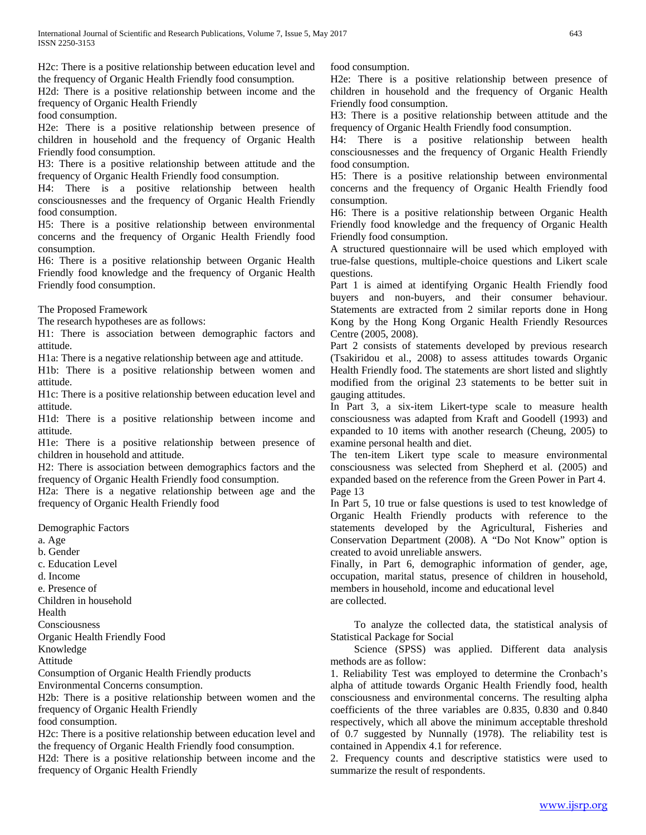H2c: There is a positive relationship between education level and the frequency of Organic Health Friendly food consumption.

H2d: There is a positive relationship between income and the frequency of Organic Health Friendly

food consumption.

H2e: There is a positive relationship between presence of children in household and the frequency of Organic Health Friendly food consumption.

H3: There is a positive relationship between attitude and the frequency of Organic Health Friendly food consumption.

H4: There is a positive relationship between health consciousnesses and the frequency of Organic Health Friendly food consumption.

H5: There is a positive relationship between environmental concerns and the frequency of Organic Health Friendly food consumption.

H6: There is a positive relationship between Organic Health Friendly food knowledge and the frequency of Organic Health Friendly food consumption.

The Proposed Framework

The research hypotheses are as follows:

H1: There is association between demographic factors and attitude.

H1a: There is a negative relationship between age and attitude.

H1b: There is a positive relationship between women and attitude.

H1c: There is a positive relationship between education level and attitude.

H1d: There is a positive relationship between income and attitude.

H1e: There is a positive relationship between presence of children in household and attitude.

H2: There is association between demographics factors and the frequency of Organic Health Friendly food consumption.

H2a: There is a negative relationship between age and the frequency of Organic Health Friendly food

Demographic Factors

a. Age

b. Gender

c. Education Level

d. Income

e. Presence of

Children in household

Health

Consciousness

Organic Health Friendly Food

Knowledge

Attitude

Consumption of Organic Health Friendly products

Environmental Concerns consumption.

H2b: There is a positive relationship between women and the frequency of Organic Health Friendly

food consumption.

H2c: There is a positive relationship between education level and the frequency of Organic Health Friendly food consumption.

H2d: There is a positive relationship between income and the frequency of Organic Health Friendly

food consumption.

H2e: There is a positive relationship between presence of children in household and the frequency of Organic Health Friendly food consumption.

H3: There is a positive relationship between attitude and the frequency of Organic Health Friendly food consumption.

H4: There is a positive relationship between health consciousnesses and the frequency of Organic Health Friendly food consumption.

H5: There is a positive relationship between environmental concerns and the frequency of Organic Health Friendly food consumption.

H6: There is a positive relationship between Organic Health Friendly food knowledge and the frequency of Organic Health Friendly food consumption.

A structured questionnaire will be used which employed with true-false questions, multiple-choice questions and Likert scale questions.

Part 1 is aimed at identifying Organic Health Friendly food buyers and non-buyers, and their consumer behaviour. Statements are extracted from 2 similar reports done in Hong Kong by the Hong Kong Organic Health Friendly Resources Centre (2005, 2008).

Part 2 consists of statements developed by previous research (Tsakiridou et al., 2008) to assess attitudes towards Organic Health Friendly food. The statements are short listed and slightly modified from the original 23 statements to be better suit in gauging attitudes.

In Part 3, a six-item Likert-type scale to measure health consciousness was adapted from Kraft and Goodell (1993) and expanded to 10 items with another research (Cheung, 2005) to examine personal health and diet.

The ten-item Likert type scale to measure environmental consciousness was selected from Shepherd et al. (2005) and expanded based on the reference from the Green Power in Part 4. Page 13

In Part 5, 10 true or false questions is used to test knowledge of Organic Health Friendly products with reference to the statements developed by the Agricultural, Fisheries and Conservation Department (2008). A "Do Not Know" option is created to avoid unreliable answers.

Finally, in Part 6, demographic information of gender, age, occupation, marital status, presence of children in household, members in household, income and educational level are collected.

 To analyze the collected data, the statistical analysis of Statistical Package for Social

 Science (SPSS) was applied. Different data analysis methods are as follow:

1. Reliability Test was employed to determine the Cronbach's alpha of attitude towards Organic Health Friendly food, health consciousness and environmental concerns. The resulting alpha coefficients of the three variables are 0.835, 0.830 and 0.840 respectively, which all above the minimum acceptable threshold of 0.7 suggested by Nunnally (1978). The reliability test is contained in Appendix 4.1 for reference.

2. Frequency counts and descriptive statistics were used to summarize the result of respondents.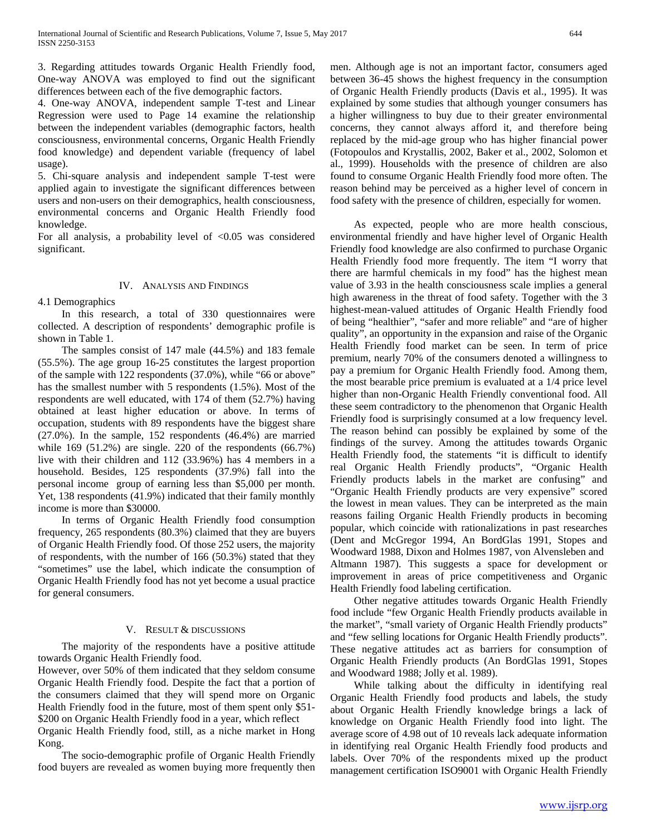3. Regarding attitudes towards Organic Health Friendly food, One-way ANOVA was employed to find out the significant differences between each of the five demographic factors.

4. One-way ANOVA, independent sample T-test and Linear Regression were used to Page 14 examine the relationship between the independent variables (demographic factors, health consciousness, environmental concerns, Organic Health Friendly food knowledge) and dependent variable (frequency of label usage).

5. Chi-square analysis and independent sample T-test were applied again to investigate the significant differences between users and non-users on their demographics, health consciousness, environmental concerns and Organic Health Friendly food knowledge.

For all analysis, a probability level of <0.05 was considered significant.

## IV. ANALYSIS AND FINDINGS

4.1 Demographics

 In this research, a total of 330 questionnaires were collected. A description of respondents' demographic profile is shown in Table 1.

 The samples consist of 147 male (44.5%) and 183 female (55.5%). The age group 16-25 constitutes the largest proportion of the sample with 122 respondents (37.0%), while "66 or above" has the smallest number with 5 respondents (1.5%). Most of the respondents are well educated, with 174 of them (52.7%) having obtained at least higher education or above. In terms of occupation, students with 89 respondents have the biggest share (27.0%). In the sample, 152 respondents (46.4%) are married while 169 (51.2%) are single. 220 of the respondents (66.7%) live with their children and 112 (33.96%) has 4 members in a household. Besides, 125 respondents (37.9%) fall into the personal income group of earning less than \$5,000 per month. Yet, 138 respondents (41.9%) indicated that their family monthly income is more than \$30000.

 In terms of Organic Health Friendly food consumption frequency, 265 respondents (80.3%) claimed that they are buyers of Organic Health Friendly food. Of those 252 users, the majority of respondents, with the number of 166 (50.3%) stated that they "sometimes" use the label, which indicate the consumption of Organic Health Friendly food has not yet become a usual practice for general consumers.

## V. RESULT & DISCUSSIONS

 The majority of the respondents have a positive attitude towards Organic Health Friendly food.

However, over 50% of them indicated that they seldom consume Organic Health Friendly food. Despite the fact that a portion of the consumers claimed that they will spend more on Organic Health Friendly food in the future, most of them spent only \$51- \$200 on Organic Health Friendly food in a year, which reflect Organic Health Friendly food, still, as a niche market in Hong Kong.

 The socio-demographic profile of Organic Health Friendly food buyers are revealed as women buying more frequently then men. Although age is not an important factor, consumers aged between 36-45 shows the highest frequency in the consumption of Organic Health Friendly products (Davis et al., 1995). It was explained by some studies that although younger consumers has a higher willingness to buy due to their greater environmental concerns, they cannot always afford it, and therefore being replaced by the mid-age group who has higher financial power (Fotopoulos and Krystallis, 2002, Baker et al., 2002, Solomon et al., 1999). Households with the presence of children are also found to consume Organic Health Friendly food more often. The reason behind may be perceived as a higher level of concern in food safety with the presence of children, especially for women.

 As expected, people who are more health conscious, environmental friendly and have higher level of Organic Health Friendly food knowledge are also confirmed to purchase Organic Health Friendly food more frequently. The item "I worry that there are harmful chemicals in my food" has the highest mean value of 3.93 in the health consciousness scale implies a general high awareness in the threat of food safety. Together with the 3 highest-mean-valued attitudes of Organic Health Friendly food of being "healthier", "safer and more reliable" and "are of higher quality", an opportunity in the expansion and raise of the Organic Health Friendly food market can be seen. In term of price premium, nearly 70% of the consumers denoted a willingness to pay a premium for Organic Health Friendly food. Among them, the most bearable price premium is evaluated at a 1/4 price level higher than non-Organic Health Friendly conventional food. All these seem contradictory to the phenomenon that Organic Health Friendly food is surprisingly consumed at a low frequency level. The reason behind can possibly be explained by some of the findings of the survey. Among the attitudes towards Organic Health Friendly food, the statements "it is difficult to identify real Organic Health Friendly products", "Organic Health Friendly products labels in the market are confusing" and "Organic Health Friendly products are very expensive" scored the lowest in mean values. They can be interpreted as the main reasons failing Organic Health Friendly products in becoming popular, which coincide with rationalizations in past researches (Dent and McGregor 1994, An BordGlas 1991, Stopes and Woodward 1988, Dixon and Holmes 1987, von Alvensleben and Altmann 1987). This suggests a space for development or improvement in areas of price competitiveness and Organic Health Friendly food labeling certification.

 Other negative attitudes towards Organic Health Friendly food include "few Organic Health Friendly products available in the market", "small variety of Organic Health Friendly products" and "few selling locations for Organic Health Friendly products". These negative attitudes act as barriers for consumption of Organic Health Friendly products (An BordGlas 1991, Stopes and Woodward 1988; Jolly et al. 1989).

 While talking about the difficulty in identifying real Organic Health Friendly food products and labels, the study about Organic Health Friendly knowledge brings a lack of knowledge on Organic Health Friendly food into light. The average score of 4.98 out of 10 reveals lack adequate information in identifying real Organic Health Friendly food products and labels. Over 70% of the respondents mixed up the product management certification ISO9001 with Organic Health Friendly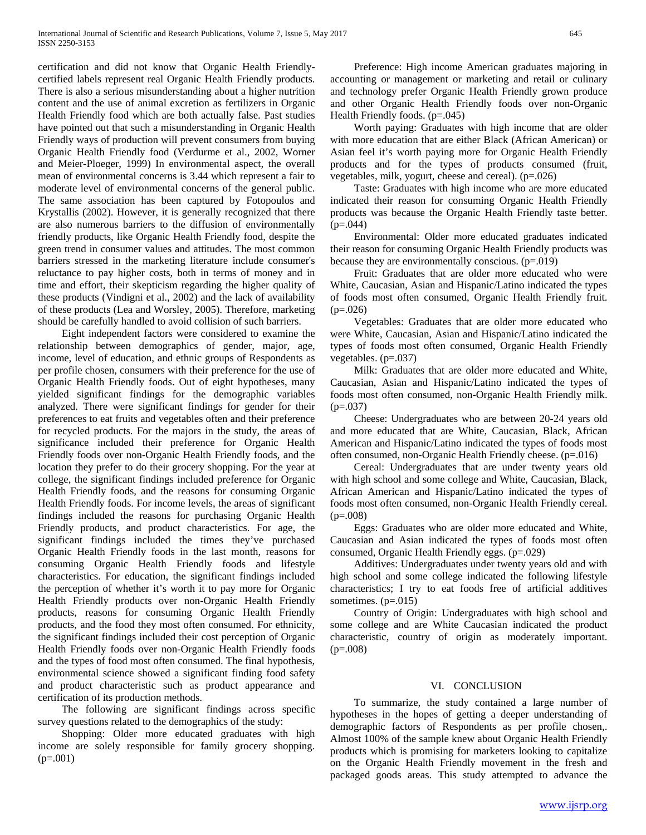certification and did not know that Organic Health Friendlycertified labels represent real Organic Health Friendly products. There is also a serious misunderstanding about a higher nutrition content and the use of animal excretion as fertilizers in Organic Health Friendly food which are both actually false. Past studies have pointed out that such a misunderstanding in Organic Health Friendly ways of production will prevent consumers from buying Organic Health Friendly food (Verdurme et al., 2002, Worner and Meier-Ploeger, 1999) In environmental aspect, the overall mean of environmental concerns is 3.44 which represent a fair to moderate level of environmental concerns of the general public. The same association has been captured by Fotopoulos and Krystallis (2002). However, it is generally recognized that there are also numerous barriers to the diffusion of environmentally friendly products, like Organic Health Friendly food, despite the green trend in consumer values and attitudes. The most common barriers stressed in the marketing literature include consumer's reluctance to pay higher costs, both in terms of money and in time and effort, their skepticism regarding the higher quality of these products (Vindigni et al., 2002) and the lack of availability of these products (Lea and Worsley, 2005). Therefore, marketing should be carefully handled to avoid collision of such barriers.

 Eight independent factors were considered to examine the relationship between demographics of gender, major, age, income, level of education, and ethnic groups of Respondents as per profile chosen, consumers with their preference for the use of Organic Health Friendly foods. Out of eight hypotheses, many yielded significant findings for the demographic variables analyzed. There were significant findings for gender for their preferences to eat fruits and vegetables often and their preference for recycled products. For the majors in the study, the areas of significance included their preference for Organic Health Friendly foods over non-Organic Health Friendly foods, and the location they prefer to do their grocery shopping. For the year at college, the significant findings included preference for Organic Health Friendly foods, and the reasons for consuming Organic Health Friendly foods. For income levels, the areas of significant findings included the reasons for purchasing Organic Health Friendly products, and product characteristics. For age, the significant findings included the times they've purchased Organic Health Friendly foods in the last month, reasons for consuming Organic Health Friendly foods and lifestyle characteristics. For education, the significant findings included the perception of whether it's worth it to pay more for Organic Health Friendly products over non-Organic Health Friendly products, reasons for consuming Organic Health Friendly products, and the food they most often consumed. For ethnicity, the significant findings included their cost perception of Organic Health Friendly foods over non-Organic Health Friendly foods and the types of food most often consumed. The final hypothesis, environmental science showed a significant finding food safety and product characteristic such as product appearance and certification of its production methods.

 The following are significant findings across specific survey questions related to the demographics of the study:

 Shopping: Older more educated graduates with high income are solely responsible for family grocery shopping.  $(p=.001)$ 

 Preference: High income American graduates majoring in accounting or management or marketing and retail or culinary and technology prefer Organic Health Friendly grown produce and other Organic Health Friendly foods over non-Organic Health Friendly foods. (p=.045)

 Worth paying: Graduates with high income that are older with more education that are either Black (African American) or Asian feel it's worth paying more for Organic Health Friendly products and for the types of products consumed (fruit, vegetables, milk, yogurt, cheese and cereal). (p=.026)

 Taste: Graduates with high income who are more educated indicated their reason for consuming Organic Health Friendly products was because the Organic Health Friendly taste better.  $(p=.044)$ 

 Environmental: Older more educated graduates indicated their reason for consuming Organic Health Friendly products was because they are environmentally conscious.  $(p=.019)$ 

 Fruit: Graduates that are older more educated who were White, Caucasian, Asian and Hispanic/Latino indicated the types of foods most often consumed, Organic Health Friendly fruit.  $(p=0.026)$ 

 Vegetables: Graduates that are older more educated who were White, Caucasian, Asian and Hispanic/Latino indicated the types of foods most often consumed, Organic Health Friendly vegetables. (p=.037)

 Milk: Graduates that are older more educated and White, Caucasian, Asian and Hispanic/Latino indicated the types of foods most often consumed, non-Organic Health Friendly milk.  $(p=.037)$ 

 Cheese: Undergraduates who are between 20-24 years old and more educated that are White, Caucasian, Black, African American and Hispanic/Latino indicated the types of foods most often consumed, non-Organic Health Friendly cheese. (p=.016)

 Cereal: Undergraduates that are under twenty years old with high school and some college and White, Caucasian, Black, African American and Hispanic/Latino indicated the types of foods most often consumed, non-Organic Health Friendly cereal.  $(p=.008)$ 

 Eggs: Graduates who are older more educated and White, Caucasian and Asian indicated the types of foods most often consumed, Organic Health Friendly eggs. (p=.029)

 Additives: Undergraduates under twenty years old and with high school and some college indicated the following lifestyle characteristics; I try to eat foods free of artificial additives sometimes.  $(p=.015)$ 

 Country of Origin: Undergraduates with high school and some college and are White Caucasian indicated the product characteristic, country of origin as moderately important.  $(p=.008)$ 

#### VI. CONCLUSION

 To summarize, the study contained a large number of hypotheses in the hopes of getting a deeper understanding of demographic factors of Respondents as per profile chosen,. Almost 100% of the sample knew about Organic Health Friendly products which is promising for marketers looking to capitalize on the Organic Health Friendly movement in the fresh and packaged goods areas. This study attempted to advance the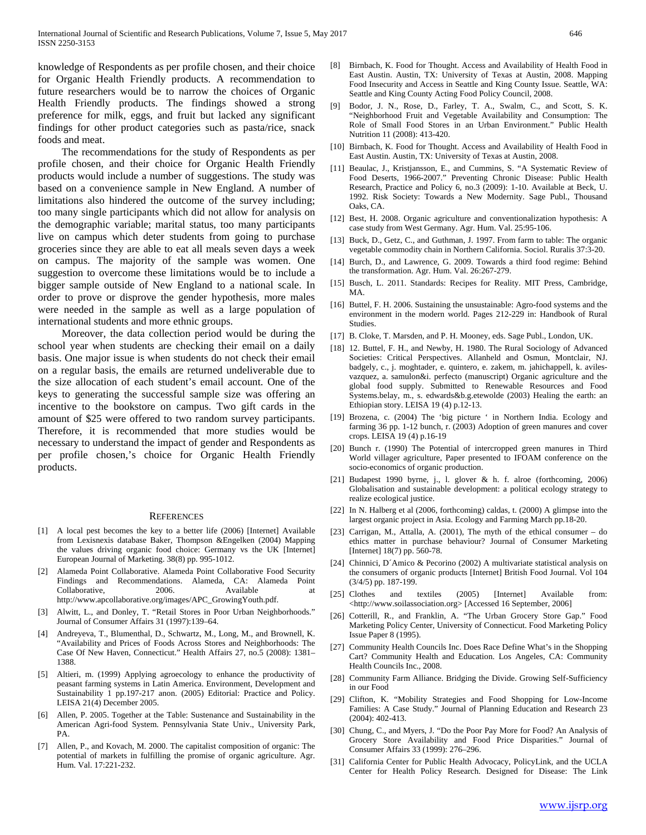knowledge of Respondents as per profile chosen, and their choice for Organic Health Friendly products. A recommendation to future researchers would be to narrow the choices of Organic Health Friendly products. The findings showed a strong preference for milk, eggs, and fruit but lacked any significant findings for other product categories such as pasta/rice, snack foods and meat.

 The recommendations for the study of Respondents as per profile chosen, and their choice for Organic Health Friendly products would include a number of suggestions. The study was based on a convenience sample in New England. A number of limitations also hindered the outcome of the survey including; too many single participants which did not allow for analysis on the demographic variable; marital status, too many participants live on campus which deter students from going to purchase groceries since they are able to eat all meals seven days a week on campus. The majority of the sample was women. One suggestion to overcome these limitations would be to include a bigger sample outside of New England to a national scale. In order to prove or disprove the gender hypothesis, more males were needed in the sample as well as a large population of international students and more ethnic groups.

 Moreover, the data collection period would be during the school year when students are checking their email on a daily basis. One major issue is when students do not check their email on a regular basis, the emails are returned undeliverable due to the size allocation of each student's email account. One of the keys to generating the successful sample size was offering an incentive to the bookstore on campus. Two gift cards in the amount of \$25 were offered to two random survey participants. Therefore, it is recommended that more studies would be necessary to understand the impact of gender and Respondents as per profile chosen,'s choice for Organic Health Friendly products.

#### **REFERENCES**

- [1] A local pest becomes the key to a better life (2006) [Internet] Available from Lexisnexis database Baker, Thompson &Engelken (2004) Mapping the values driving organic food choice: Germany vs the UK [Internet] European Journal of Marketing. 38(8) pp. 995-1012.
- [2] Alameda Point Collaborative. Alameda Point Collaborative Food Security Findings and Recommendations. Alameda, CA: Alameda Point Collaborative. 2006. Available at Collaborative, 2006. Available at http://www.apcollaborative.org/images/APC\_GrowingYouth.pdf.
- [3] Alwitt, L., and Donley, T. "Retail Stores in Poor Urban Neighborhoods." Journal of Consumer Affairs 31 (1997):139–64.
- [4] Andreyeva, T., Blumenthal, D., Schwartz, M., Long, M., and Brownell, K. "Availability and Prices of Foods Across Stores and Neighborhoods: The Case Of New Haven, Connecticut." Health Affairs 27, no.5 (2008): 1381– 1388.
- [5] Altieri, m. (1999) Applying agroecology to enhance the productivity of peasant farming systems in Latin America. Environment, Development and Sustainability 1 pp.197-217 anon. (2005) Editorial: Practice and Policy. LEISA 21(4) December 2005.
- [6] Allen, P. 2005. Together at the Table: Sustenance and Sustainability in the American Agri-food System. Pennsylvania State Univ., University Park, PA.
- [7] Allen, P., and Kovach, M. 2000. The capitalist composition of organic: The potential of markets in fulfilling the promise of organic agriculture. Agr. Hum. Val. 17:221-232.
- [8] Birnbach, K. Food for Thought. Access and Availability of Health Food in East Austin. Austin, TX: University of Texas at Austin, 2008. Mapping Food Insecurity and Access in Seattle and King County Issue. Seattle, WA: Seattle and King County Acting Food Policy Council, 2008.
- [9] Bodor, J. N., Rose, D., Farley, T. A., Swalm, C., and Scott, S. K. "Neighborhood Fruit and Vegetable Availability and Consumption: The Role of Small Food Stores in an Urban Environment." Public Health Nutrition 11 (2008): 413-420.
- [10] Birnbach, K. Food for Thought. Access and Availability of Health Food in East Austin. Austin, TX: University of Texas at Austin, 2008.
- [11] Beaulac, J., Kristjansson, E., and Cummins, S. "A Systematic Review of Food Deserts, 1966-2007." Preventing Chronic Disease: Public Health Research, Practice and Policy 6, no.3 (2009): 1-10. Available at Beck, U. 1992. Risk Society: Towards a New Modernity. Sage Publ., Thousand Oaks, CA.
- [12] Best, H. 2008. Organic agriculture and conventionalization hypothesis: A case study from West Germany. Agr. Hum. Val. 25:95-106.
- [13] Buck, D., Getz, C., and Guthman, J. 1997. From farm to table: The organic vegetable commodity chain in Northern California. Sociol. Ruralis 37:3-20.
- [14] Burch, D., and Lawrence, G. 2009. Towards a third food regime: Behind the transformation. Agr. Hum. Val. 26:267-279.
- [15] Busch, L. 2011. Standards: Recipes for Reality. MIT Press, Cambridge, MA.
- [16] Buttel, F. H. 2006. Sustaining the unsustainable: Agro-food systems and the environment in the modern world. Pages 212-229 in: Handbook of Rural Studies.
- [17] B. Cloke, T. Marsden, and P. H. Mooney, eds. Sage Publ., London, UK.
- [18] 12. Buttel, F. H., and Newby, H. 1980. The Rural Sociology of Advanced Societies: Critical Perspectives. Allanheld and Osmun, Montclair, NJ. badgely, c., j. moghtader, e. quintero, e. zakem, m. jahichappell, k. avilesvazquez, a. samulon&i. perfecto (manuscript) Organic agriculture and the global food supply. Submitted to Renewable Resources and Food Systems.belay, m., s. edwards&b.g.etewolde (2003) Healing the earth: an Ethiopian story. LEISA 19 (4) p.12-13.
- [19] Brozena, c. (2004) The 'big picture ' in Northern India. Ecology and farming 36 pp. 1-12 bunch, r. (2003) Adoption of green manures and cover crops. LEISA 19 (4) p.16-19
- [20] Bunch r. (1990) The Potential of intercropped green manures in Third World villager agriculture, Paper presented to IFOAM conference on the socio-economics of organic production.
- [21] Budapest 1990 byrne, j., l. glover & h. f. alroe (forthcoming, 2006) Globalisation and sustainable development: a political ecology strategy to realize ecological justice.
- [22] In N. Halberg et al (2006, forthcoming) caldas, t. (2000) A glimpse into the largest organic project in Asia. Ecology and Farming March pp.18-20.
- [23] Carrigan, M., Attalla, A. (2001), The myth of the ethical consumer do ethics matter in purchase behaviour? Journal of Consumer Marketing [Internet] 18(7) pp. 560-78.
- [24] Chinnici, D´Amico & Pecorino (2002) A multivariate statistical analysis on the consumers of organic products [Internet] British Food Journal. Vol 104 (3/4/5) pp. 187-199.
- [25] Clothes and textiles (2005) [Internet] Available from: <http://www.soilassociation.org> [Accessed 16 September, 2006]
- [26] Cotterill, R., and Franklin, A. "The Urban Grocery Store Gap." Food Marketing Policy Center, University of Connecticut. Food Marketing Policy Issue Paper 8 (1995).
- [27] Community Health Councils Inc. Does Race Define What's in the Shopping Cart? Community Health and Education. Los Angeles, CA: Community Health Councils Inc., 2008.
- [28] Community Farm Alliance. Bridging the Divide. Growing Self-Sufficiency in our Food
- [29] Clifton, K. "Mobility Strategies and Food Shopping for Low-Income Families: A Case Study." Journal of Planning Education and Research 23 (2004): 402-413.
- [30] Chung, C., and Myers, J. "Do the Poor Pay More for Food? An Analysis of Grocery Store Availability and Food Price Disparities." Journal of Consumer Affairs 33 (1999): 276–296.
- [31] California Center for Public Health Advocacy, PolicyLink, and the UCLA Center for Health Policy Research. Designed for Disease: The Link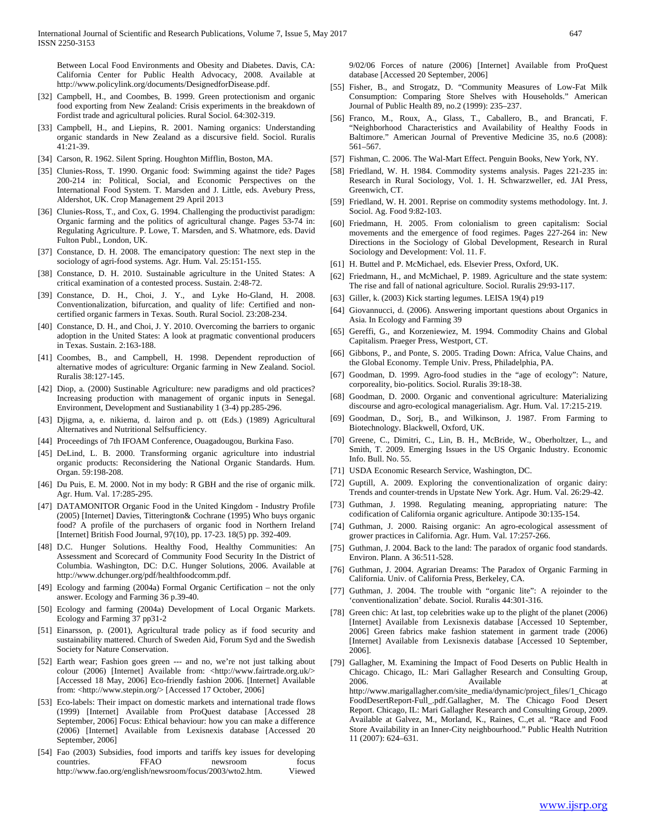Between Local Food Environments and Obesity and Diabetes. Davis, CA: California Center for Public Health Advocacy, 2008. Available at http://www.policylink.org/documents/DesignedforDisease.pdf.

- [32] Campbell, H., and Coombes, B. 1999. Green protectionism and organic food exporting from New Zealand: Crisis experiments in the breakdown of Fordist trade and agricultural policies. Rural Sociol. 64:302-319.
- [33] Campbell, H., and Liepins, R. 2001. Naming organics: Understanding organic standards in New Zealand as a discursive field. Sociol. Ruralis 41:21-39.
- [34] Carson, R. 1962. Silent Spring. Houghton Mifflin, Boston, MA.
- [35] Clunies-Ross, T. 1990. Organic food: Swimming against the tide? Pages 200-214 in: Political, Social, and Economic Perspectives on the International Food System. T. Marsden and J. Little, eds. Avebury Press, Aldershot, UK. Crop Management 29 April 2013
- [36] Clunies-Ross, T., and Cox, G. 1994. Challenging the productivist paradigm: Organic farming and the politics of agricultural change. Pages 53-74 in: Regulating Agriculture. P. Lowe, T. Marsden, and S. Whatmore, eds. David Fulton Publ., London, UK.
- [37] Constance, D. H. 2008. The emancipatory question: The next step in the sociology of agri-food systems. Agr. Hum. Val. 25:151-155.
- [38] Constance, D. H. 2010. Sustainable agriculture in the United States: A critical examination of a contested process. Sustain. 2:48-72.
- [39] Constance, D. H., Choi, J. Y., and Lyke Ho-Gland, H. 2008. Conventionalization, bifurcation, and quality of life: Certified and noncertified organic farmers in Texas. South. Rural Sociol. 23:208-234.
- [40] Constance, D. H., and Choi, J. Y. 2010. Overcoming the barriers to organic adoption in the United States: A look at pragmatic conventional producers in Texas. Sustain. 2:163-188.
- [41] Coombes, B., and Campbell, H. 1998. Dependent reproduction of alternative modes of agriculture: Organic farming in New Zealand. Sociol. Ruralis 38:127-145.
- [42] Diop, a. (2000) Sustinable Agriculture: new paradigms and old practices? Increasing production with management of organic inputs in Senegal. Environment, Development and Sustianability 1 (3-4) pp.285-296.
- [43] Djigma, a, e. nikiema, d. lairon and p. ott (Eds.) (1989) Agricultural Alternatives and Nutritional Selfsufficiency.
- [44] Proceedings of 7th IFOAM Conference, Ouagadougou, Burkina Faso.
- [45] DeLind, L. B. 2000. Transforming organic agriculture into industrial organic products: Reconsidering the National Organic Standards. Hum. Organ. 59:198-208.
- [46] Du Puis, E. M. 2000. Not in my body: R GBH and the rise of organic milk. Agr. Hum. Val. 17:285-295.
- [47] DATAMONITOR Organic Food in the United Kingdom Industry Profile (2005) [Internet] Davies, Titterington& Cochrane (1995) Who buys organic food? A profile of the purchasers of organic food in Northern Ireland [Internet] British Food Journal, 97(10), pp. 17-23. 18(5) pp. 392-409.
- [48] D.C. Hunger Solutions. Healthy Food, Healthy Communities: An Assessment and Scorecard of Community Food Security In the District of Columbia. Washington, DC: D.C. Hunger Solutions, 2006. Available at http://www.dchunger.org/pdf/healthfoodcomm.pdf.
- [49] Ecology and farming (2004a) Formal Organic Certification not the only answer. Ecology and Farming 36 p.39-40.
- [50] Ecology and farming (2004a) Development of Local Organic Markets. Ecology and Farming 37 pp31-2
- [51] Einarsson, p. (2001), Agricultural trade policy as if food security and sustainability mattered. Church of Sweden Aid, Forum Syd and the Swedish Society for Nature Conservation.
- [52] Earth wear; Fashion goes green --- and no, we're not just talking about colour (2006) [Internet] Available from: <http://www.fairtrade.org.uk/> [Accessed 18 May, 2006] Eco-friendly fashion 2006. [Internet] Available from: <http://www.stepin.org/> [Accessed 17 October, 2006]
- [53] Eco-labels: Their impact on domestic markets and international trade flows (1999) [Internet] Available from ProQuest database [Accessed 28 September, 2006] Focus: Ethical behaviour: how you can make a difference (2006) [Internet] Available from Lexisnexis database [Accessed 20 September, 2006]
- [54] Fao (2003) Subsidies, food imports and tariffs key issues for developing countries. FFAO newsroom focus http://www.fao.org/english/newsroom/focus/2003/wto2.htm. Viewed

9/02/06 Forces of nature (2006) [Internet] Available from ProQuest database [Accessed 20 September, 2006]

- [55] Fisher, B., and Strogatz, D. "Community Measures of Low-Fat Milk Consumption: Comparing Store Shelves with Households." American Journal of Public Health 89, no.2 (1999): 235–237.
- [56] Franco, M., Roux, A., Glass, T., Caballero, B., and Brancati, F. "Neighborhood Characteristics and Availability of Healthy Foods in Baltimore." American Journal of Preventive Medicine 35, no.6 (2008): 561–567.
- [57] Fishman, C. 2006. The Wal-Mart Effect. Penguin Books, New York, NY.
- [58] Friedland, W. H. 1984. Commodity systems analysis. Pages 221-235 in: Research in Rural Sociology, Vol. 1. H. Schwarzweller, ed. JAI Press, Greenwich, CT.
- [59] Friedland, W. H. 2001. Reprise on commodity systems methodology. Int. J. Sociol. Ag. Food 9:82-103.
- [60] Friedmann, H. 2005. From colonialism to green capitalism: Social movements and the emergence of food regimes. Pages 227-264 in: New Directions in the Sociology of Global Development, Research in Rural Sociology and Development: Vol. 11. F.
- [61] H. Buttel and P. McMichael, eds. Elsevier Press, Oxford, UK.
- [62] Friedmann, H., and McMichael, P. 1989. Agriculture and the state system: The rise and fall of national agriculture. Sociol. Ruralis 29:93-117.
- [63] Giller, k.  $(2003)$  Kick starting legumes. LEISA 19(4) p19
- [64] Giovannucci, d. (2006). Answering important questions about Organics in Asia. In Ecology and Farming 39
- [65] Gereffi, G., and Korzeniewiez, M. 1994. Commodity Chains and Global Capitalism. Praeger Press, Westport, CT.
- [66] Gibbons, P., and Ponte, S. 2005. Trading Down: Africa, Value Chains, and the Global Economy. Temple Univ. Press, Philadelphia, PA.
- [67] Goodman, D. 1999. Agro-food studies in the "age of ecology": Nature, corporeality, bio-politics. Sociol. Ruralis 39:18-38.
- [68] Goodman, D. 2000. Organic and conventional agriculture: Materializing discourse and agro-ecological managerialism. Agr. Hum. Val. 17:215-219.
- [69] Goodman, D., Sorj, B., and Wilkinson, J. 1987. From Farming to Biotechnology. Blackwell, Oxford, UK.
- [70] Greene, C., Dimitri, C., Lin, B. H., McBride, W., Oberholtzer, L., and Smith, T. 2009. Emerging Issues in the US Organic Industry. Economic Info. Bull. No. 55.
- [71] USDA Economic Research Service, Washington, DC.
- [72] Guptill, A. 2009. Exploring the conventionalization of organic dairy: Trends and counter-trends in Upstate New York. Agr. Hum. Val. 26:29-42.
- [73] Guthman, J. 1998. Regulating meaning, appropriating nature: The codification of California organic agriculture. Antipode 30:135-154.
- [74] Guthman, J. 2000. Raising organic: An agro-ecological assessment of grower practices in California. Agr. Hum. Val. 17:257-266.
- [75] Guthman, J. 2004. Back to the land: The paradox of organic food standards. Environ. Plann. A 36:511-528.
- [76] Guthman, J. 2004. Agrarian Dreams: The Paradox of Organic Farming in California. Univ. of California Press, Berkeley, CA.
- [77] Guthman, J. 2004. The trouble with "organic lite": A rejoinder to the 'conventionalization' debate. Sociol. Ruralis 44:301-316.
- [78] Green chic: At last, top celebrities wake up to the plight of the planet (2006) [Internet] Available from Lexisnexis database [Accessed 10 September, 2006] Green fabrics make fashion statement in garment trade (2006) [Internet] Available from Lexisnexis database [Accessed 10 September, 2006].
- [79] Gallagher, M. Examining the Impact of Food Deserts on Public Health in Chicago. Chicago, IL: Mari Gallagher Research and Consulting Group, 2006. Available at a state at a state at a state and a state at a state at a state at a state at a state at a state at a state at a state at a state at a state at a state at a state at a state at a state at a state at a st http://www.marigallagher.com/site\_media/dynamic/project\_files/1\_Chicago FoodDesertReport-Full\_.pdf.Gallagher, M. The Chicago Food Desert Report. Chicago, IL: Mari Gallagher Research and Consulting Group, 2009. Available at Galvez, M., Morland, K., Raines, C.,et al. "Race and Food Store Availability in an Inner-City neighbourhood." Public Health Nutrition 11 (2007): 624–631.